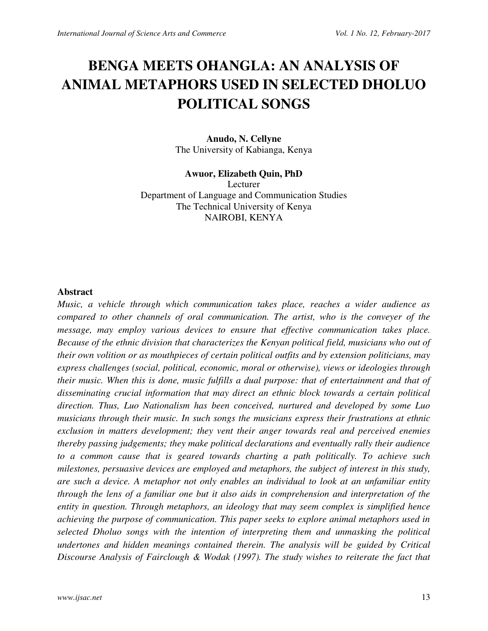# **BENGA MEETS OHANGLA: AN ANALYSIS OF ANIMAL METAPHORS USED IN SELECTED DHOLUO POLITICAL SONGS**

## **Anudo, N. Cellyne**  The University of Kabianga, Kenya

**Awuor, Elizabeth Quin, PhD**  Lecturer Department of Language and Communication Studies The Technical University of Kenya NAIROBI, KENYA

#### **Abstract**

*Music, a vehicle through which communication takes place, reaches a wider audience as compared to other channels of oral communication. The artist, who is the conveyer of the message, may employ various devices to ensure that effective communication takes place. Because of the ethnic division that characterizes the Kenyan political field, musicians who out of their own volition or as mouthpieces of certain political outfits and by extension politicians, may express challenges (social, political, economic, moral or otherwise), views or ideologies through their music. When this is done, music fulfills a dual purpose: that of entertainment and that of disseminating crucial information that may direct an ethnic block towards a certain political direction. Thus, Luo Nationalism has been conceived, nurtured and developed by some Luo musicians through their music. In such songs the musicians express their frustrations at ethnic exclusion in matters development; they vent their anger towards real and perceived enemies thereby passing judgements; they make political declarations and eventually rally their audience to a common cause that is geared towards charting a path politically. To achieve such milestones, persuasive devices are employed and metaphors, the subject of interest in this study, are such a device. A metaphor not only enables an individual to look at an unfamiliar entity through the lens of a familiar one but it also aids in comprehension and interpretation of the entity in question. Through metaphors, an ideology that may seem complex is simplified hence achieving the purpose of communication. This paper seeks to explore animal metaphors used in selected Dholuo songs with the intention of interpreting them and unmasking the political undertones and hidden meanings contained therein. The analysis will be guided by Critical Discourse Analysis of Fairclough & Wodak (1997). The study wishes to reiterate the fact that*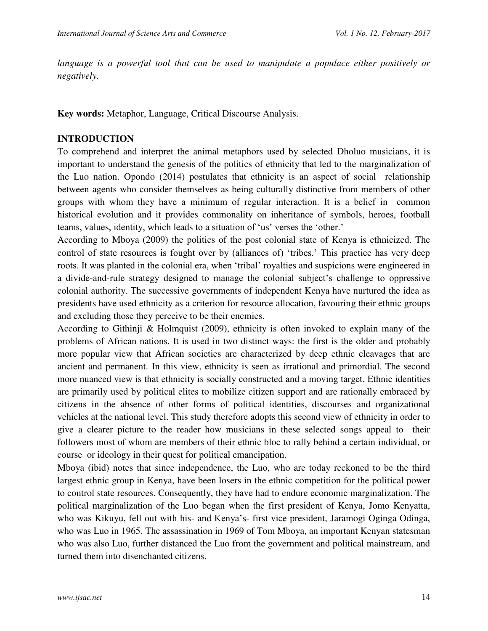*language is a powerful tool that can be used to manipulate a populace either positively or negatively.* 

**Key words:** Metaphor, Language, Critical Discourse Analysis.

#### **INTRODUCTION**

To comprehend and interpret the animal metaphors used by selected Dholuo musicians, it is important to understand the genesis of the politics of ethnicity that led to the marginalization of the Luo nation. Opondo (2014) postulates that ethnicity is an aspect of social relationship between agents who consider themselves as being culturally distinctive from members of other groups with whom they have a minimum of regular interaction. It is a belief in common historical evolution and it provides commonality on inheritance of symbols, heroes, football teams, values, identity, which leads to a situation of 'us' verses the 'other.'

According to Mboya (2009) the politics of the post colonial state of Kenya is ethnicized. The control of state resources is fought over by (alliances of) 'tribes.' This practice has very deep roots. It was planted in the colonial era, when 'tribal' royalties and suspicions were engineered in a divide-and-rule strategy designed to manage the colonial subject's challenge to oppressive colonial authority. The successive governments of independent Kenya have nurtured the idea as presidents have used ethnicity as a criterion for resource allocation, favouring their ethnic groups and excluding those they perceive to be their enemies.

According to Githinji & Holmquist (2009), ethnicity is often invoked to explain many of the problems of African nations. It is used in two distinct ways: the first is the older and probably more popular view that African societies are characterized by deep ethnic cleavages that are ancient and permanent. In this view, ethnicity is seen as irrational and primordial. The second more nuanced view is that ethnicity is socially constructed and a moving target. Ethnic identities are primarily used by political elites to mobilize citizen support and are rationally embraced by citizens in the absence of other forms of political identities, discourses and organizational vehicles at the national level. This study therefore adopts this second view of ethnicity in order to give a clearer picture to the reader how musicians in these selected songs appeal to their followers most of whom are members of their ethnic bloc to rally behind a certain individual, or course or ideology in their quest for political emancipation.

Mboya (ibid) notes that since independence, the Luo, who are today reckoned to be the third largest ethnic group in Kenya, have been losers in the ethnic competition for the political power to control state resources. Consequently, they have had to endure economic marginalization. The political marginalization of the Luo began when the first president of Kenya, Jomo Kenyatta, who was Kikuyu, fell out with his- and Kenya's- first vice president, Jaramogi Oginga Odinga, who was Luo in 1965. The assassination in 1969 of Tom Mboya, an important Kenyan statesman who was also Luo, further distanced the Luo from the government and political mainstream, and turned them into disenchanted citizens.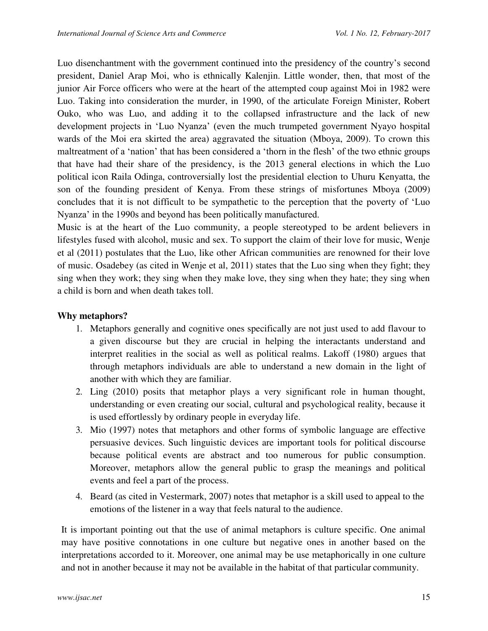Luo disenchantment with the government continued into the presidency of the country's second president, Daniel Arap Moi, who is ethnically Kalenjin. Little wonder, then, that most of the junior Air Force officers who were at the heart of the attempted coup against Moi in 1982 were Luo. Taking into consideration the murder, in 1990, of the articulate Foreign Minister, Robert Ouko, who was Luo, and adding it to the collapsed infrastructure and the lack of new development projects in 'Luo Nyanza' (even the much trumpeted government Nyayo hospital wards of the Moi era skirted the area) aggravated the situation (Mboya, 2009). To crown this maltreatment of a 'nation' that has been considered a 'thorn in the flesh' of the two ethnic groups that have had their share of the presidency, is the 2013 general elections in which the Luo political icon Raila Odinga, controversially lost the presidential election to Uhuru Kenyatta, the son of the founding president of Kenya. From these strings of misfortunes Mboya (2009) concludes that it is not difficult to be sympathetic to the perception that the poverty of 'Luo Nyanza' in the 1990s and beyond has been politically manufactured.

Music is at the heart of the Luo community, a people stereotyped to be ardent believers in lifestyles fused with alcohol, music and sex. To support the claim of their love for music, Wenje et al (2011) postulates that the Luo, like other African communities are renowned for their love of music. Osadebey (as cited in Wenje et al, 2011) states that the Luo sing when they fight; they sing when they work; they sing when they make love, they sing when they hate; they sing when a child is born and when death takes toll.

# **Why metaphors?**

- 1. Metaphors generally and cognitive ones specifically are not just used to add flavour to a given discourse but they are crucial in helping the interactants understand and interpret realities in the social as well as political realms. Lakoff (1980) argues that through metaphors individuals are able to understand a new domain in the light of another with which they are familiar.
- 2. Ling (2010) posits that metaphor plays a very significant role in human thought, understanding or even creating our social, cultural and psychological reality, because it is used effortlessly by ordinary people in everyday life.
- 3. Mio (1997) notes that metaphors and other forms of symbolic language are effective persuasive devices. Such linguistic devices are important tools for political discourse because political events are abstract and too numerous for public consumption. Moreover, metaphors allow the general public to grasp the meanings and political events and feel a part of the process.
- 4. Beard (as cited in Vestermark, 2007) notes that metaphor is a skill used to appeal to the emotions of the listener in a way that feels natural to the audience.

It is important pointing out that the use of animal metaphors is culture specific. One animal may have positive connotations in one culture but negative ones in another based on the interpretations accorded to it. Moreover, one animal may be use metaphorically in one culture and not in another because it may not be available in the habitat of that particular community.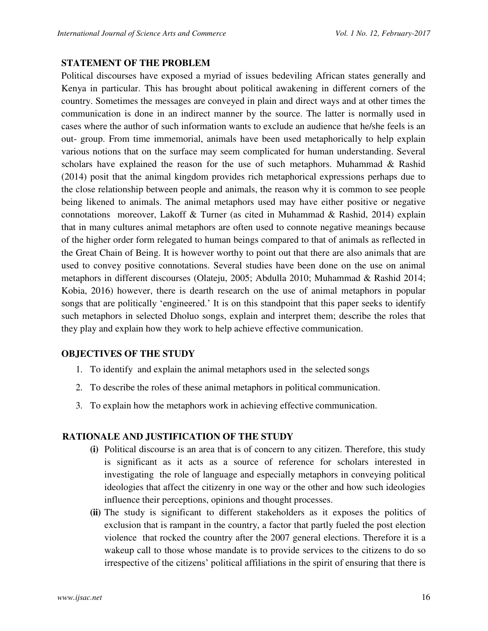## **STATEMENT OF THE PROBLEM**

Political discourses have exposed a myriad of issues bedeviling African states generally and Kenya in particular. This has brought about political awakening in different corners of the country. Sometimes the messages are conveyed in plain and direct ways and at other times the communication is done in an indirect manner by the source. The latter is normally used in cases where the author of such information wants to exclude an audience that he/she feels is an out- group. From time immemorial, animals have been used metaphorically to help explain various notions that on the surface may seem complicated for human understanding. Several scholars have explained the reason for the use of such metaphors. Muhammad & Rashid (2014) posit that the animal kingdom provides rich metaphorical expressions perhaps due to the close relationship between people and animals, the reason why it is common to see people being likened to animals. The animal metaphors used may have either positive or negative connotations moreover, Lakoff & Turner (as cited in Muhammad & Rashid, 2014) explain that in many cultures animal metaphors are often used to connote negative meanings because of the higher order form relegated to human beings compared to that of animals as reflected in the Great Chain of Being. It is however worthy to point out that there are also animals that are used to convey positive connotations. Several studies have been done on the use on animal metaphors in different discourses (Olateju, 2005; Abdulla 2010; Muhammad & Rashid 2014; Kobia, 2016) however, there is dearth research on the use of animal metaphors in popular songs that are politically 'engineered.' It is on this standpoint that this paper seeks to identify such metaphors in selected Dholuo songs, explain and interpret them; describe the roles that they play and explain how they work to help achieve effective communication.

# **OBJECTIVES OF THE STUDY**

- 1. To identify and explain the animal metaphors used in the selected songs
- 2. To describe the roles of these animal metaphors in political communication.
- 3. To explain how the metaphors work in achieving effective communication.

## **RATIONALE AND JUSTIFICATION OF THE STUDY**

- **(i)** Political discourse is an area that is of concern to any citizen. Therefore, this study is significant as it acts as a source of reference for scholars interested in investigating the role of language and especially metaphors in conveying political ideologies that affect the citizenry in one way or the other and how such ideologies influence their perceptions, opinions and thought processes.
- **(ii)** The study is significant to different stakeholders as it exposes the politics of exclusion that is rampant in the country, a factor that partly fueled the post election violence that rocked the country after the 2007 general elections. Therefore it is a wakeup call to those whose mandate is to provide services to the citizens to do so irrespective of the citizens' political affiliations in the spirit of ensuring that there is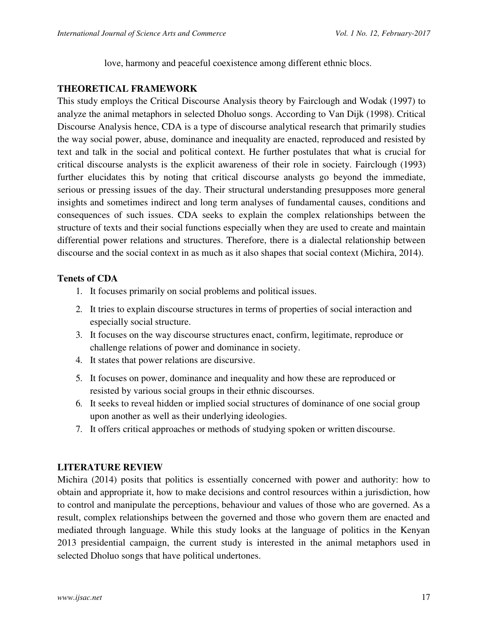love, harmony and peaceful coexistence among different ethnic blocs.

# **THEORETICAL FRAMEWORK**

This study employs the Critical Discourse Analysis theory by Fairclough and Wodak (1997) to analyze the animal metaphors in selected Dholuo songs. According to Van Dijk (1998). Critical Discourse Analysis hence, CDA is a type of discourse analytical research that primarily studies the way social power, abuse, dominance and inequality are enacted, reproduced and resisted by text and talk in the social and political context. He further postulates that what is crucial for critical discourse analysts is the explicit awareness of their role in society. Fairclough (1993) further elucidates this by noting that critical discourse analysts go beyond the immediate, serious or pressing issues of the day. Their structural understanding presupposes more general insights and sometimes indirect and long term analyses of fundamental causes, conditions and consequences of such issues. CDA seeks to explain the complex relationships between the structure of texts and their social functions especially when they are used to create and maintain differential power relations and structures. Therefore, there is a dialectal relationship between discourse and the social context in as much as it also shapes that social context (Michira, 2014).

# **Tenets of CDA**

- 1. It focuses primarily on social problems and political issues.
- 2. It tries to explain discourse structures in terms of properties of social interaction and especially social structure.
- 3. It focuses on the way discourse structures enact, confirm, legitimate, reproduce or challenge relations of power and dominance in society.
- 4. It states that power relations are discursive.
- 5. It focuses on power, dominance and inequality and how these are reproduced or resisted by various social groups in their ethnic discourses.
- 6. It seeks to reveal hidden or implied social structures of dominance of one social group upon another as well as their underlying ideologies.
- 7. It offers critical approaches or methods of studying spoken or written discourse.

# **LITERATURE REVIEW**

Michira (2014) posits that politics is essentially concerned with power and authority: how to obtain and appropriate it, how to make decisions and control resources within a jurisdiction, how to control and manipulate the perceptions, behaviour and values of those who are governed. As a result, complex relationships between the governed and those who govern them are enacted and mediated through language. While this study looks at the language of politics in the Kenyan 2013 presidential campaign, the current study is interested in the animal metaphors used in selected Dholuo songs that have political undertones.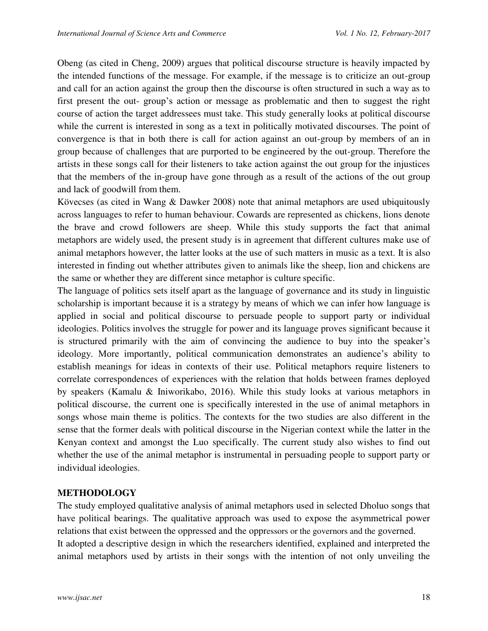Obeng (as cited in Cheng, 2009) argues that political discourse structure is heavily impacted by the intended functions of the message. For example, if the message is to criticize an out-group and call for an action against the group then the discourse is often structured in such a way as to first present the out- group's action or message as problematic and then to suggest the right course of action the target addressees must take. This study generally looks at political discourse while the current is interested in song as a text in politically motivated discourses. The point of convergence is that in both there is call for action against an out-group by members of an in group because of challenges that are purported to be engineered by the out-group. Therefore the artists in these songs call for their listeners to take action against the out group for the injustices that the members of the in-group have gone through as a result of the actions of the out group and lack of goodwill from them.

Kövecses (as cited in Wang & Dawker 2008) note that animal metaphors are used ubiquitously across languages to refer to human behaviour. Cowards are represented as chickens, lions denote the brave and crowd followers are sheep. While this study supports the fact that animal metaphors are widely used, the present study is in agreement that different cultures make use of animal metaphors however, the latter looks at the use of such matters in music as a text. It is also interested in finding out whether attributes given to animals like the sheep, lion and chickens are the same or whether they are different since metaphor is culture specific.

The language of politics sets itself apart as the language of governance and its study in linguistic scholarship is important because it is a strategy by means of which we can infer how language is applied in social and political discourse to persuade people to support party or individual ideologies. Politics involves the struggle for power and its language proves significant because it is structured primarily with the aim of convincing the audience to buy into the speaker's ideology. More importantly, political communication demonstrates an audience's ability to establish meanings for ideas in contexts of their use. Political metaphors require listeners to correlate correspondences of experiences with the relation that holds between frames deployed by speakers (Kamalu & Iniworikabo, 2016). While this study looks at various metaphors in political discourse, the current one is specifically interested in the use of animal metaphors in songs whose main theme is politics. The contexts for the two studies are also different in the sense that the former deals with political discourse in the Nigerian context while the latter in the Kenyan context and amongst the Luo specifically. The current study also wishes to find out whether the use of the animal metaphor is instrumental in persuading people to support party or individual ideologies.

# **METHODOLOGY**

The study employed qualitative analysis of animal metaphors used in selected Dholuo songs that have political bearings. The qualitative approach was used to expose the asymmetrical power relations that exist between the oppressed and the oppressors or the governors and the governed. It adopted a descriptive design in which the researchers identified, explained and interpreted the animal metaphors used by artists in their songs with the intention of not only unveiling the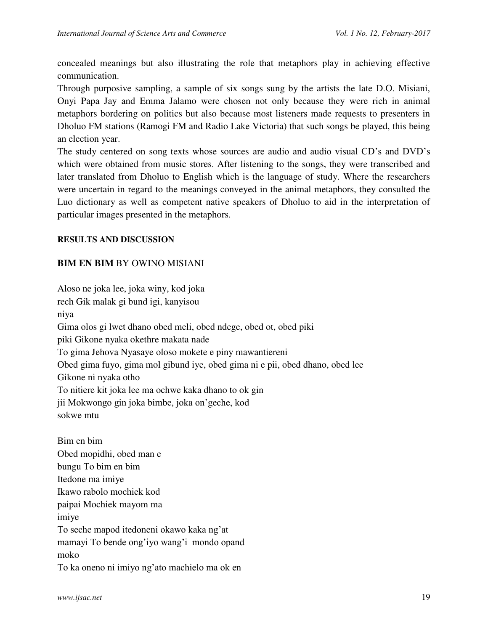concealed meanings but also illustrating the role that metaphors play in achieving effective communication.

Through purposive sampling, a sample of six songs sung by the artists the late D.O. Misiani, Onyi Papa Jay and Emma Jalamo were chosen not only because they were rich in animal metaphors bordering on politics but also because most listeners made requests to presenters in Dholuo FM stations (Ramogi FM and Radio Lake Victoria) that such songs be played, this being an election year.

The study centered on song texts whose sources are audio and audio visual CD's and DVD's which were obtained from music stores. After listening to the songs, they were transcribed and later translated from Dholuo to English which is the language of study. Where the researchers were uncertain in regard to the meanings conveyed in the animal metaphors, they consulted the Luo dictionary as well as competent native speakers of Dholuo to aid in the interpretation of particular images presented in the metaphors.

## **RESULTS AND DISCUSSION**

## **BIM EN BIM** BY OWINO MISIANI

Aloso ne joka lee, joka winy, kod joka rech Gik malak gi bund igi, kanyisou niya Gima olos gi lwet dhano obed meli, obed ndege, obed ot, obed piki piki Gikone nyaka okethre makata nade To gima Jehova Nyasaye oloso mokete e piny mawantiereni Obed gima fuyo, gima mol gibund iye, obed gima ni e pii, obed dhano, obed lee Gikone ni nyaka otho To nitiere kit joka lee ma ochwe kaka dhano to ok gin jii Mokwongo gin joka bimbe, joka on'geche, kod sokwe mtu Bim en bim Obed mopidhi, obed man e bungu To bim en bim Itedone ma imiye Ikawo rabolo mochiek kod paipai Mochiek mayom ma imiye To seche mapod itedoneni okawo kaka ng'at mamayi To bende ong'iyo wang'i mondo opand

moko

To ka oneno ni imiyo ng'ato machielo ma ok en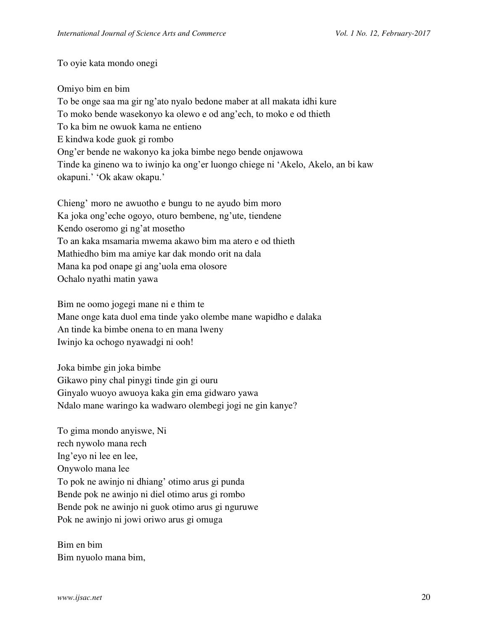To oyie kata mondo onegi

Omiyo bim en bim To be onge saa ma gir ng'ato nyalo bedone maber at all makata idhi kure To moko bende wasekonyo ka olewo e od ang'ech, to moko e od thieth To ka bim ne owuok kama ne entieno E kindwa kode guok gi rombo Ong'er bende ne wakonyo ka joka bimbe nego bende onjawowa Tinde ka gineno wa to iwinjo ka ong'er luongo chiege ni 'Akelo, Akelo, an bi kaw okapuni.' 'Ok akaw okapu.'

Chieng' moro ne awuotho e bungu to ne ayudo bim moro Ka joka ong'eche ogoyo, oturo bembene, ng'ute, tiendene Kendo oseromo gi ng'at mosetho To an kaka msamaria mwema akawo bim ma atero e od thieth Mathiedho bim ma amiye kar dak mondo orit na dala Mana ka pod onape gi ang'uola ema olosore Ochalo nyathi matin yawa

Bim ne oomo jogegi mane ni e thim te Mane onge kata duol ema tinde yako olembe mane wapidho e dalaka An tinde ka bimbe onena to en mana lweny Iwinjo ka ochogo nyawadgi ni ooh!

Joka bimbe gin joka bimbe Gikawo piny chal pinygi tinde gin gi ouru Ginyalo wuoyo awuoya kaka gin ema gidwaro yawa Ndalo mane waringo ka wadwaro olembegi jogi ne gin kanye?

To gima mondo anyiswe, Ni rech nywolo mana rech Ing'eyo ni lee en lee, Onywolo mana lee To pok ne awinjo ni dhiang' otimo arus gi punda Bende pok ne awinjo ni diel otimo arus gi rombo Bende pok ne awinjo ni guok otimo arus gi nguruwe Pok ne awinjo ni jowi oriwo arus gi omuga

Bim en bim Bim nyuolo mana bim,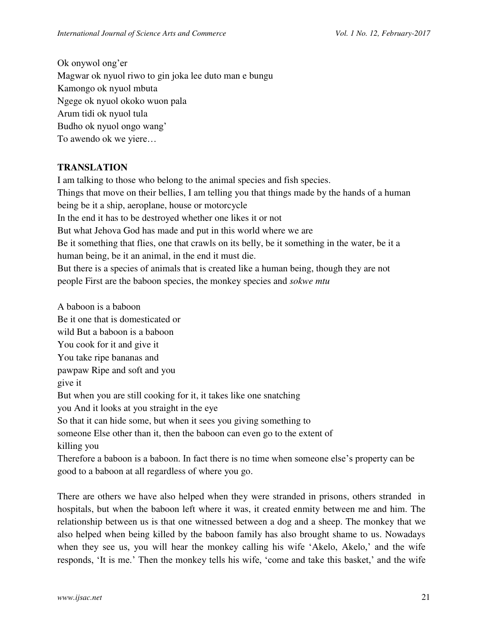Ok onywol ong'er Magwar ok nyuol riwo to gin joka lee duto man e bungu Kamongo ok nyuol mbuta Ngege ok nyuol okoko wuon pala Arum tidi ok nyuol tula Budho ok nyuol ongo wang' To awendo ok we yiere…

# **TRANSLATION**

I am talking to those who belong to the animal species and fish species. Things that move on their bellies, I am telling you that things made by the hands of a human being be it a ship, aeroplane, house or motorcycle In the end it has to be destroyed whether one likes it or not But what Jehova God has made and put in this world where we are Be it something that flies, one that crawls on its belly, be it something in the water, be it a human being, be it an animal, in the end it must die. But there is a species of animals that is created like a human being, though they are not people First are the baboon species, the monkey species and *sokwe mtu* 

A baboon is a baboon Be it one that is domesticated or wild But a baboon is a baboon You cook for it and give it You take ripe bananas and pawpaw Ripe and soft and you give it But when you are still cooking for it, it takes like one snatching you And it looks at you straight in the eye So that it can hide some, but when it sees you giving something to someone Else other than it, then the baboon can even go to the extent of killing you Therefore a baboon is a baboon. In fact there is no time when someone else's property can be good to a baboon at all regardless of where you go.

There are others we have also helped when they were stranded in prisons, others stranded in hospitals, but when the baboon left where it was, it created enmity between me and him. The relationship between us is that one witnessed between a dog and a sheep. The monkey that we also helped when being killed by the baboon family has also brought shame to us. Nowadays when they see us, you will hear the monkey calling his wife 'Akelo, Akelo,' and the wife responds, 'It is me.' Then the monkey tells his wife, 'come and take this basket,' and the wife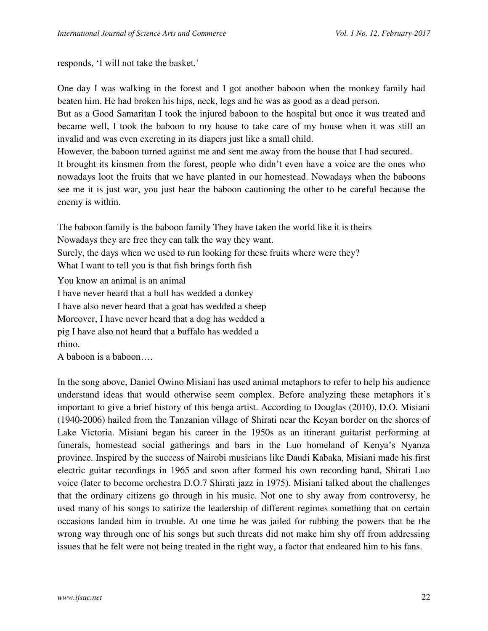responds, 'I will not take the basket.'

One day I was walking in the forest and I got another baboon when the monkey family had beaten him. He had broken his hips, neck, legs and he was as good as a dead person.

But as a Good Samaritan I took the injured baboon to the hospital but once it was treated and became well, I took the baboon to my house to take care of my house when it was still an invalid and was even excreting in its diapers just like a small child.

However, the baboon turned against me and sent me away from the house that I had secured.

It brought its kinsmen from the forest, people who didn't even have a voice are the ones who nowadays loot the fruits that we have planted in our homestead. Nowadays when the baboons see me it is just war, you just hear the baboon cautioning the other to be careful because the enemy is within.

The baboon family is the baboon family They have taken the world like it is theirs Nowadays they are free they can talk the way they want. Surely, the days when we used to run looking for these fruits where were they?

What I want to tell you is that fish brings forth fish

You know an animal is an animal

I have never heard that a bull has wedded a donkey

I have also never heard that a goat has wedded a sheep

Moreover, I have never heard that a dog has wedded a

pig I have also not heard that a buffalo has wedded a

rhino.

A baboon is a baboon….

In the song above, Daniel Owino Misiani has used animal metaphors to refer to help his audience understand ideas that would otherwise seem complex. Before analyzing these metaphors it's important to give a brief history of this benga artist. According to Douglas (2010), D.O. Misiani (1940-2006) hailed from the Tanzanian village of Shirati near the Keyan border on the shores of Lake Victoria. Misiani began his career in the 1950s as an itinerant guitarist performing at funerals, homestead social gatherings and bars in the Luo homeland of Kenya's Nyanza province. Inspired by the success of Nairobi musicians like Daudi Kabaka, Misiani made his first electric guitar recordings in 1965 and soon after formed his own recording band, Shirati Luo voice (later to become orchestra D.O.7 Shirati jazz in 1975). Misiani talked about the challenges that the ordinary citizens go through in his music. Not one to shy away from controversy, he used many of his songs to satirize the leadership of different regimes something that on certain occasions landed him in trouble. At one time he was jailed for rubbing the powers that be the wrong way through one of his songs but such threats did not make him shy off from addressing issues that he felt were not being treated in the right way, a factor that endeared him to his fans.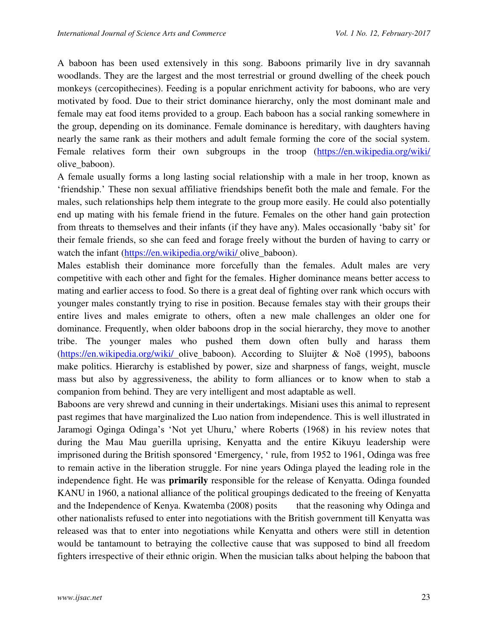A baboon has been used extensively in this song. Baboons primarily live in dry savannah woodlands. They are the largest and the most terrestrial or ground dwelling of the cheek pouch monkeys (cercopithecines). Feeding is a popular enrichment activity for baboons, who are very motivated by food. Due to their strict dominance hierarchy, only the most dominant male and female may eat food items provided to a group. Each baboon has a social ranking somewhere in the group, depending on its dominance. Female dominance is hereditary, with daughters having nearly the same rank as their mothers and adult female forming the core of the social system. Female relatives form their own subgroups in the troop [\(https://en.wikipedia.org/wiki/](https://en.wikipedia.org/wiki/)  olive\_baboon).

A female usually forms a long lasting social relationship with a male in her troop, known as 'friendship.' These non sexual affiliative friendships benefit both the male and female. For the males, such relationships help them integrate to the group more easily. He could also potentially end up mating with his female friend in the future. Females on the other hand gain protection from threats to themselves and their infants (if they have any). Males occasionally 'baby sit' for their female friends, so she can feed and forage freely without the burden of having to carry or watch the infant [\(https://en.wikipedia.org/wiki/ o](https://en.wikipedia.org/wiki/)live\_baboon).

Males establish their dominance more forcefully than the females. Adult males are very competitive with each other and fight for the females. Higher dominance means better access to mating and earlier access to food. So there is a great deal of fighting over rank which occurs with younger males constantly trying to rise in position. Because females stay with their groups their entire lives and males emigrate to others, often a new male challenges an older one for dominance. Frequently, when older baboons drop in the social hierarchy, they move to another tribe. The younger males who pushed them down often bully and harass them [\(https://en.wikipedia.org/wiki/](https://en.wikipedia.org/wiki/) olive baboon). According to Sluijter & Noē (1995), baboons make politics. Hierarchy is established by power, size and sharpness of fangs, weight, muscle mass but also by aggressiveness, the ability to form alliances or to know when to stab a companion from behind. They are very intelligent and most adaptable as well.

Baboons are very shrewd and cunning in their undertakings. Misiani uses this animal to represent past regimes that have marginalized the Luo nation from independence. This is well illustrated in Jaramogi Oginga Odinga's 'Not yet Uhuru,' where Roberts (1968) in his review notes that during the Mau Mau guerilla uprising, Kenyatta and the entire Kikuyu leadership were imprisoned during the British sponsored 'Emergency, ' rule, from 1952 to 1961, Odinga was free to remain active in the liberation struggle. For nine years Odinga played the leading role in the independence fight. He was **primarily** responsible for the release of Kenyatta. Odinga founded KANU in 1960, a national alliance of the political groupings dedicated to the freeing of Kenyatta and the Independence of Kenya. Kwatemba (2008) posits that the reasoning why Odinga and other nationalists refused to enter into negotiations with the British government till Kenyatta was released was that to enter into negotiations while Kenyatta and others were still in detention would be tantamount to betraying the collective cause that was supposed to bind all freedom fighters irrespective of their ethnic origin. When the musician talks about helping the baboon that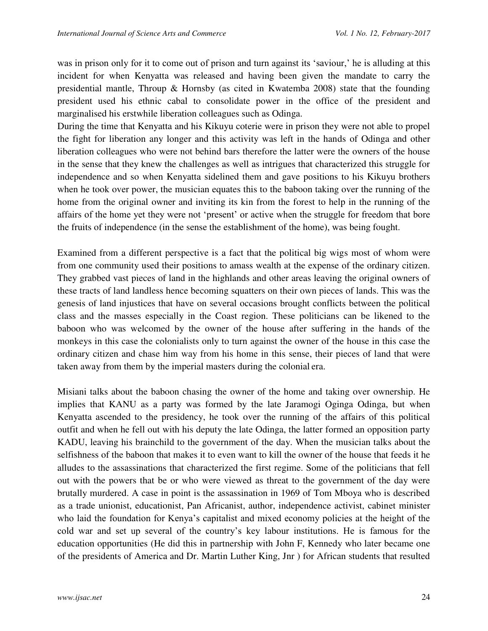was in prison only for it to come out of prison and turn against its 'saviour,' he is alluding at this incident for when Kenyatta was released and having been given the mandate to carry the presidential mantle, Throup & Hornsby (as cited in Kwatemba 2008) state that the founding president used his ethnic cabal to consolidate power in the office of the president and marginalised his erstwhile liberation colleagues such as Odinga.

During the time that Kenyatta and his Kikuyu coterie were in prison they were not able to propel the fight for liberation any longer and this activity was left in the hands of Odinga and other liberation colleagues who were not behind bars therefore the latter were the owners of the house in the sense that they knew the challenges as well as intrigues that characterized this struggle for independence and so when Kenyatta sidelined them and gave positions to his Kikuyu brothers when he took over power, the musician equates this to the baboon taking over the running of the home from the original owner and inviting its kin from the forest to help in the running of the affairs of the home yet they were not 'present' or active when the struggle for freedom that bore the fruits of independence (in the sense the establishment of the home), was being fought.

Examined from a different perspective is a fact that the political big wigs most of whom were from one community used their positions to amass wealth at the expense of the ordinary citizen. They grabbed vast pieces of land in the highlands and other areas leaving the original owners of these tracts of land landless hence becoming squatters on their own pieces of lands. This was the genesis of land injustices that have on several occasions brought conflicts between the political class and the masses especially in the Coast region. These politicians can be likened to the baboon who was welcomed by the owner of the house after suffering in the hands of the monkeys in this case the colonialists only to turn against the owner of the house in this case the ordinary citizen and chase him way from his home in this sense, their pieces of land that were taken away from them by the imperial masters during the colonial era.

Misiani talks about the baboon chasing the owner of the home and taking over ownership. He implies that KANU as a party was formed by the late Jaramogi Oginga Odinga, but when Kenyatta ascended to the presidency, he took over the running of the affairs of this political outfit and when he fell out with his deputy the late Odinga, the latter formed an opposition party KADU, leaving his brainchild to the government of the day. When the musician talks about the selfishness of the baboon that makes it to even want to kill the owner of the house that feeds it he alludes to the assassinations that characterized the first regime. Some of the politicians that fell out with the powers that be or who were viewed as threat to the government of the day were brutally murdered. A case in point is the assassination in 1969 of Tom Mboya who is described as a trade unionist, educationist, Pan Africanist, author, independence activist, cabinet minister who laid the foundation for Kenya's capitalist and mixed economy policies at the height of the cold war and set up several of the country's key labour institutions. He is famous for the education opportunities (He did this in partnership with John F, Kennedy who later became one of the presidents of America and Dr. Martin Luther King, Jnr ) for African students that resulted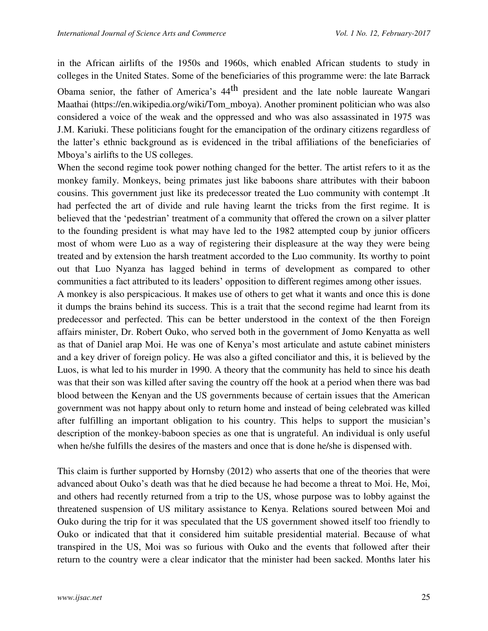in the African airlifts of the 1950s and 1960s, which enabled African students to study in colleges in the United States. Some of the beneficiaries of this programme were: the late Barrack

Obama senior, the father of America's 44<sup>th</sup> president and the late noble laureate Wangari Maathai (https://en.wikipedia.org/wiki/Tom\_mboya). Another prominent politician who was also considered a voice of the weak and the oppressed and who was also assassinated in 1975 was J.M. Kariuki. These politicians fought for the emancipation of the ordinary citizens regardless of the latter's ethnic background as is evidenced in the tribal affiliations of the beneficiaries of Mboya's airlifts to the US colleges.

When the second regime took power nothing changed for the better. The artist refers to it as the monkey family. Monkeys, being primates just like baboons share attributes with their baboon cousins. This government just like its predecessor treated the Luo community with contempt .It had perfected the art of divide and rule having learnt the tricks from the first regime. It is believed that the 'pedestrian' treatment of a community that offered the crown on a silver platter to the founding president is what may have led to the 1982 attempted coup by junior officers most of whom were Luo as a way of registering their displeasure at the way they were being treated and by extension the harsh treatment accorded to the Luo community. Its worthy to point out that Luo Nyanza has lagged behind in terms of development as compared to other communities a fact attributed to its leaders' opposition to different regimes among other issues.

A monkey is also perspicacious. It makes use of others to get what it wants and once this is done it dumps the brains behind its success. This is a trait that the second regime had learnt from its predecessor and perfected. This can be better understood in the context of the then Foreign affairs minister, Dr. Robert Ouko, who served both in the government of Jomo Kenyatta as well as that of Daniel arap Moi. He was one of Kenya's most articulate and astute cabinet ministers and a key driver of foreign policy. He was also a gifted conciliator and this, it is believed by the Luos, is what led to his murder in 1990. A theory that the community has held to since his death was that their son was killed after saving the country off the hook at a period when there was bad blood between the Kenyan and the US governments because of certain issues that the American government was not happy about only to return home and instead of being celebrated was killed after fulfilling an important obligation to his country. This helps to support the musician's description of the monkey-baboon species as one that is ungrateful. An individual is only useful when he/she fulfills the desires of the masters and once that is done he/she is dispensed with.

This claim is further supported by Hornsby (2012) who asserts that one of the theories that were advanced about Ouko's death was that he died because he had become a threat to Moi. He, Moi, and others had recently returned from a trip to the US, whose purpose was to lobby against the threatened suspension of US military assistance to Kenya. Relations soured between Moi and Ouko during the trip for it was speculated that the US government showed itself too friendly to Ouko or indicated that that it considered him suitable presidential material. Because of what transpired in the US, Moi was so furious with Ouko and the events that followed after their return to the country were a clear indicator that the minister had been sacked. Months later his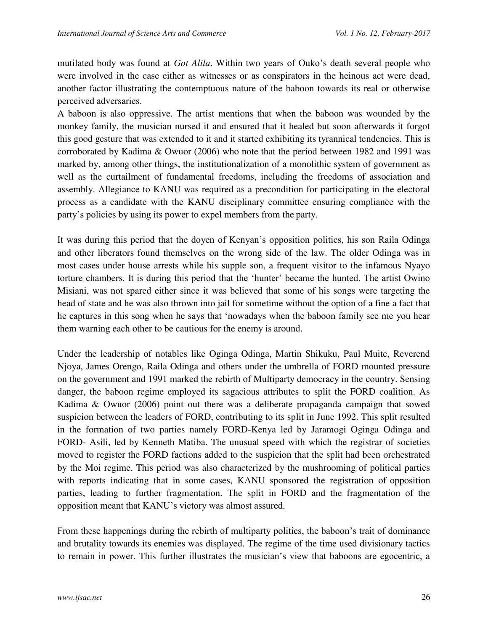mutilated body was found at *Got Alila*. Within two years of Ouko's death several people who were involved in the case either as witnesses or as conspirators in the heinous act were dead, another factor illustrating the contemptuous nature of the baboon towards its real or otherwise perceived adversaries.

A baboon is also oppressive. The artist mentions that when the baboon was wounded by the monkey family, the musician nursed it and ensured that it healed but soon afterwards it forgot this good gesture that was extended to it and it started exhibiting its tyrannical tendencies. This is corroborated by Kadima & Owuor (2006) who note that the period between 1982 and 1991 was marked by, among other things, the institutionalization of a monolithic system of government as well as the curtailment of fundamental freedoms, including the freedoms of association and assembly. Allegiance to KANU was required as a precondition for participating in the electoral process as a candidate with the KANU disciplinary committee ensuring compliance with the party's policies by using its power to expel members from the party.

It was during this period that the doyen of Kenyan's opposition politics, his son Raila Odinga and other liberators found themselves on the wrong side of the law. The older Odinga was in most cases under house arrests while his supple son, a frequent visitor to the infamous Nyayo torture chambers. It is during this period that the 'hunter' became the hunted. The artist Owino Misiani, was not spared either since it was believed that some of his songs were targeting the head of state and he was also thrown into jail for sometime without the option of a fine a fact that he captures in this song when he says that 'nowadays when the baboon family see me you hear them warning each other to be cautious for the enemy is around.

Under the leadership of notables like Oginga Odinga, Martin Shikuku, Paul Muite, Reverend Njoya, James Orengo, Raila Odinga and others under the umbrella of FORD mounted pressure on the government and 1991 marked the rebirth of Multiparty democracy in the country. Sensing danger, the baboon regime employed its sagacious attributes to split the FORD coalition. As Kadima & Owuor (2006) point out there was a deliberate propaganda campaign that sowed suspicion between the leaders of FORD, contributing to its split in June 1992. This split resulted in the formation of two parties namely FORD-Kenya led by Jaramogi Oginga Odinga and FORD- Asili, led by Kenneth Matiba. The unusual speed with which the registrar of societies moved to register the FORD factions added to the suspicion that the split had been orchestrated by the Moi regime. This period was also characterized by the mushrooming of political parties with reports indicating that in some cases, KANU sponsored the registration of opposition parties, leading to further fragmentation. The split in FORD and the fragmentation of the opposition meant that KANU's victory was almost assured.

From these happenings during the rebirth of multiparty politics, the baboon's trait of dominance and brutality towards its enemies was displayed. The regime of the time used divisionary tactics to remain in power. This further illustrates the musician's view that baboons are egocentric, a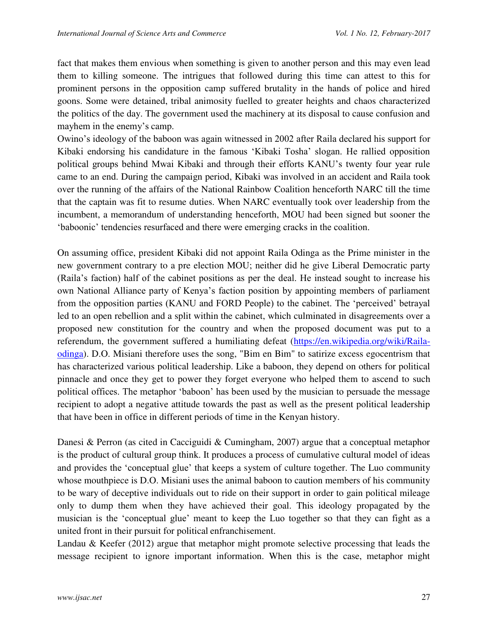fact that makes them envious when something is given to another person and this may even lead them to killing someone. The intrigues that followed during this time can attest to this for prominent persons in the opposition camp suffered brutality in the hands of police and hired goons. Some were detained, tribal animosity fuelled to greater heights and chaos characterized the politics of the day. The government used the machinery at its disposal to cause confusion and mayhem in the enemy's camp.

Owino's ideology of the baboon was again witnessed in 2002 after Raila declared his support for Kibaki endorsing his candidature in the famous 'Kibaki Tosha' slogan. He rallied opposition political groups behind Mwai Kibaki and through their efforts KANU's twenty four year rule came to an end. During the campaign period, Kibaki was involved in an accident and Raila took over the running of the affairs of the National Rainbow Coalition henceforth NARC till the time that the captain was fit to resume duties. When NARC eventually took over leadership from the incumbent, a memorandum of understanding henceforth, MOU had been signed but sooner the 'baboonic' tendencies resurfaced and there were emerging cracks in the coalition.

On assuming office, president Kibaki did not appoint Raila Odinga as the Prime minister in the new government contrary to a pre election MOU; neither did he give Liberal Democratic party (Raila's faction) half of the cabinet positions as per the deal. He instead sought to increase his own National Alliance party of Kenya's faction position by appointing members of parliament from the opposition parties (KANU and FORD People) to the cabinet. The 'perceived' betrayal led to an open rebellion and a split within the cabinet, which culminated in disagreements over a proposed new constitution for the country and when the proposed document was put to a referendum, the government suffered a humiliating defeat [\(https://en.wikipedia.org/wiki/Raila](https://en.wikipedia.org/wiki/Raila-odinga)[odinga\)](https://en.wikipedia.org/wiki/Raila-odinga). D.O. Misiani therefore uses the song, "Bim en Bim" to satirize excess egocentrism that has characterized various political leadership. Like a baboon, they depend on others for political pinnacle and once they get to power they forget everyone who helped them to ascend to such political offices. The metaphor 'baboon' has been used by the musician to persuade the message recipient to adopt a negative attitude towards the past as well as the present political leadership that have been in office in different periods of time in the Kenyan history.

Danesi & Perron (as cited in Cacciguidi & Cumingham, 2007) argue that a conceptual metaphor is the product of cultural group think. It produces a process of cumulative cultural model of ideas and provides the 'conceptual glue' that keeps a system of culture together. The Luo community whose mouthpiece is D.O. Misiani uses the animal baboon to caution members of his community to be wary of deceptive individuals out to ride on their support in order to gain political mileage only to dump them when they have achieved their goal. This ideology propagated by the musician is the 'conceptual glue' meant to keep the Luo together so that they can fight as a united front in their pursuit for political enfranchisement.

Landau & Keefer (2012) argue that metaphor might promote selective processing that leads the message recipient to ignore important information. When this is the case, metaphor might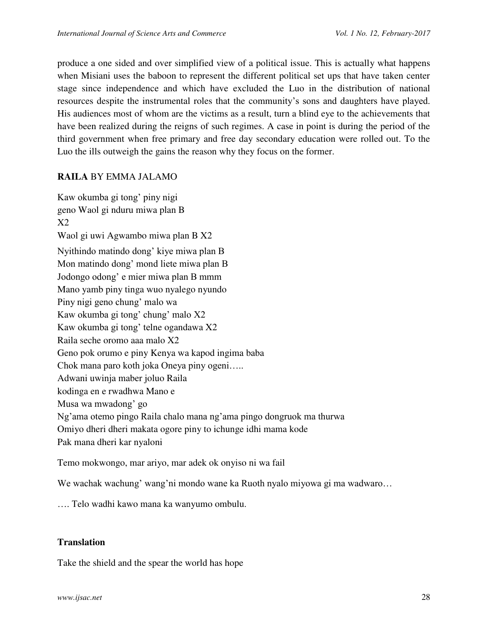produce a one sided and over simplified view of a political issue. This is actually what happens when Misiani uses the baboon to represent the different political set ups that have taken center stage since independence and which have excluded the Luo in the distribution of national resources despite the instrumental roles that the community's sons and daughters have played. His audiences most of whom are the victims as a result, turn a blind eye to the achievements that have been realized during the reigns of such regimes. A case in point is during the period of the third government when free primary and free day secondary education were rolled out. To the Luo the ills outweigh the gains the reason why they focus on the former.

## **RAILA** BY EMMA JALAMO

Kaw okumba gi tong' piny nigi geno Waol gi nduru miwa plan B X2 Waol gi uwi Agwambo miwa plan B X2 Nyithindo matindo dong' kiye miwa plan B Mon matindo dong' mond liete miwa plan B Jodongo odong' e mier miwa plan B mmm Mano yamb piny tinga wuo nyalego nyundo Piny nigi geno chung' malo wa Kaw okumba gi tong' chung' malo X2 Kaw okumba gi tong' telne ogandawa X2 Raila seche oromo aaa malo X2 Geno pok orumo e piny Kenya wa kapod ingima baba Chok mana paro koth joka Oneya piny ogeni….. Adwani uwinja maber joluo Raila kodinga en e rwadhwa Mano e Musa wa mwadong' go Ng'ama otemo pingo Raila chalo mana ng'ama pingo dongruok ma thurwa Omiyo dheri dheri makata ogore piny to ichunge idhi mama kode Pak mana dheri kar nyaloni

Temo mokwongo, mar ariyo, mar adek ok onyiso ni wa fail

We wachak wachung' wang'ni mondo wane ka Ruoth nyalo miyowa gi ma wadwaro…

…. Telo wadhi kawo mana ka wanyumo ombulu.

## **Translation**

Take the shield and the spear the world has hope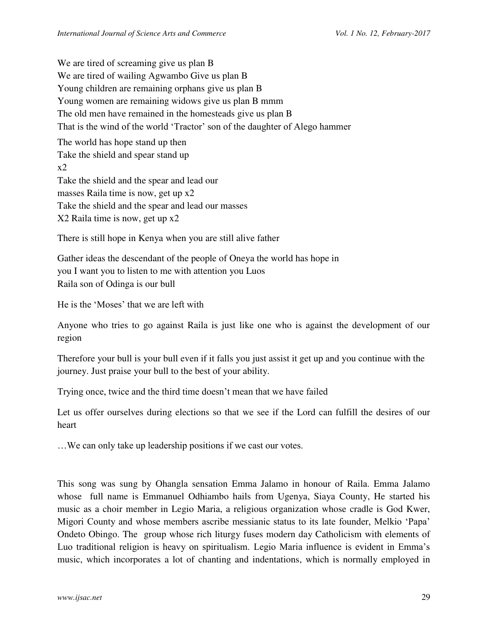We are tired of screaming give us plan B We are tired of wailing Agwambo Give us plan B Young children are remaining orphans give us plan B Young women are remaining widows give us plan B mmm The old men have remained in the homesteads give us plan B That is the wind of the world 'Tractor' son of the daughter of Alego hammer The world has hope stand up then Take the shield and spear stand up  $x2$ Take the shield and the spear and lead our masses Raila time is now, get up x2 Take the shield and the spear and lead our masses X2 Raila time is now, get up x2

There is still hope in Kenya when you are still alive father

Gather ideas the descendant of the people of Oneya the world has hope in you I want you to listen to me with attention you Luos Raila son of Odinga is our bull

He is the 'Moses' that we are left with

Anyone who tries to go against Raila is just like one who is against the development of our region

Therefore your bull is your bull even if it falls you just assist it get up and you continue with the journey. Just praise your bull to the best of your ability.

Trying once, twice and the third time doesn't mean that we have failed

Let us offer ourselves during elections so that we see if the Lord can fulfill the desires of our heart

…We can only take up leadership positions if we cast our votes.

This song was sung by Ohangla sensation Emma Jalamo in honour of Raila. Emma Jalamo whose full name is Emmanuel Odhiambo hails from Ugenya, Siaya County, He started his music as a choir member in Legio Maria, a religious organization whose cradle is God Kwer, Migori County and whose members ascribe messianic status to its late founder, Melkio 'Papa' Ondeto Obingo. The group whose rich liturgy fuses modern day Catholicism with elements of Luo traditional religion is heavy on spiritualism. Legio Maria influence is evident in Emma's music, which incorporates a lot of chanting and indentations, which is normally employed in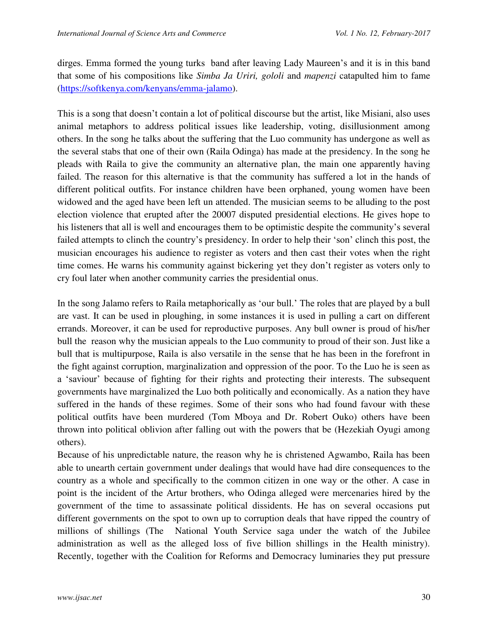dirges. Emma formed the young turks band after leaving Lady Maureen's and it is in this band that some of his compositions like *Simba Ja Uriri, gololi* and *mapenzi* catapulted him to fame [\(https://softkenya.com/kenyans/emma-jalamo\)](https://softkenya.com/kenyans/emma-jalamo).

This is a song that doesn't contain a lot of political discourse but the artist, like Misiani, also uses animal metaphors to address political issues like leadership, voting, disillusionment among others. In the song he talks about the suffering that the Luo community has undergone as well as the several stabs that one of their own (Raila Odinga) has made at the presidency. In the song he pleads with Raila to give the community an alternative plan, the main one apparently having failed. The reason for this alternative is that the community has suffered a lot in the hands of different political outfits. For instance children have been orphaned, young women have been widowed and the aged have been left un attended. The musician seems to be alluding to the post election violence that erupted after the 20007 disputed presidential elections. He gives hope to his listeners that all is well and encourages them to be optimistic despite the community's several failed attempts to clinch the country's presidency. In order to help their 'son' clinch this post, the musician encourages his audience to register as voters and then cast their votes when the right time comes. He warns his community against bickering yet they don't register as voters only to cry foul later when another community carries the presidential onus.

In the song Jalamo refers to Raila metaphorically as 'our bull.' The roles that are played by a bull are vast. It can be used in ploughing, in some instances it is used in pulling a cart on different errands. Moreover, it can be used for reproductive purposes. Any bull owner is proud of his/her bull the reason why the musician appeals to the Luo community to proud of their son. Just like a bull that is multipurpose, Raila is also versatile in the sense that he has been in the forefront in the fight against corruption, marginalization and oppression of the poor. To the Luo he is seen as a 'saviour' because of fighting for their rights and protecting their interests. The subsequent governments have marginalized the Luo both politically and economically. As a nation they have suffered in the hands of these regimes. Some of their sons who had found favour with these political outfits have been murdered (Tom Mboya and Dr. Robert Ouko) others have been thrown into political oblivion after falling out with the powers that be (Hezekiah Oyugi among others).

Because of his unpredictable nature, the reason why he is christened Agwambo, Raila has been able to unearth certain government under dealings that would have had dire consequences to the country as a whole and specifically to the common citizen in one way or the other. A case in point is the incident of the Artur brothers, who Odinga alleged were mercenaries hired by the government of the time to assassinate political dissidents. He has on several occasions put different governments on the spot to own up to corruption deals that have ripped the country of millions of shillings (The National Youth Service saga under the watch of the Jubilee administration as well as the alleged loss of five billion shillings in the Health ministry). Recently, together with the Coalition for Reforms and Democracy luminaries they put pressure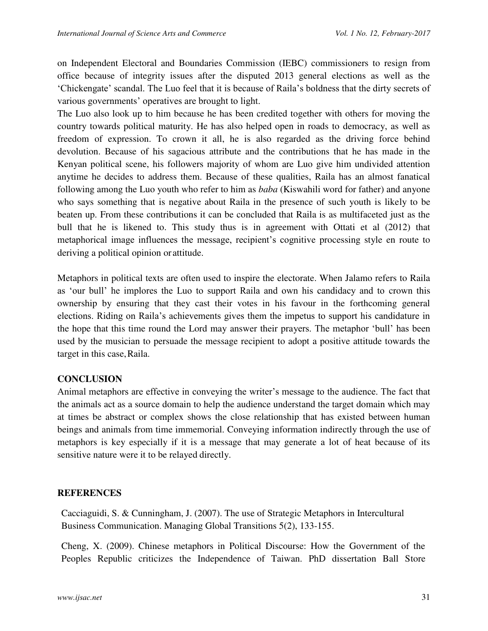on Independent Electoral and Boundaries Commission (IEBC) commissioners to resign from office because of integrity issues after the disputed 2013 general elections as well as the 'Chickengate' scandal. The Luo feel that it is because of Raila's boldness that the dirty secrets of various governments' operatives are brought to light.

The Luo also look up to him because he has been credited together with others for moving the country towards political maturity. He has also helped open in roads to democracy, as well as freedom of expression. To crown it all, he is also regarded as the driving force behind devolution. Because of his sagacious attribute and the contributions that he has made in the Kenyan political scene, his followers majority of whom are Luo give him undivided attention anytime he decides to address them. Because of these qualities, Raila has an almost fanatical following among the Luo youth who refer to him as *baba* (Kiswahili word for father) and anyone who says something that is negative about Raila in the presence of such youth is likely to be beaten up. From these contributions it can be concluded that Raila is as multifaceted just as the bull that he is likened to. This study thus is in agreement with Ottati et al (2012) that metaphorical image influences the message, recipient's cognitive processing style en route to deriving a political opinion or attitude.

Metaphors in political texts are often used to inspire the electorate. When Jalamo refers to Raila as 'our bull' he implores the Luo to support Raila and own his candidacy and to crown this ownership by ensuring that they cast their votes in his favour in the forthcoming general elections. Riding on Raila's achievements gives them the impetus to support his candidature in the hope that this time round the Lord may answer their prayers. The metaphor 'bull' has been used by the musician to persuade the message recipient to adopt a positive attitude towards the target in this case, Raila.

# **CONCLUSION**

Animal metaphors are effective in conveying the writer's message to the audience. The fact that the animals act as a source domain to help the audience understand the target domain which may at times be abstract or complex shows the close relationship that has existed between human beings and animals from time immemorial. Conveying information indirectly through the use of metaphors is key especially if it is a message that may generate a lot of heat because of its sensitive nature were it to be relayed directly.

# **REFERENCES**

Cacciaguidi, S. & Cunningham, J. (2007). The use of Strategic Metaphors in Intercultural Business Communication. Managing Global Transitions 5(2), 133-155.

Cheng, X. (2009). Chinese metaphors in Political Discourse: How the Government of the Peoples Republic criticizes the Independence of Taiwan. PhD dissertation Ball Store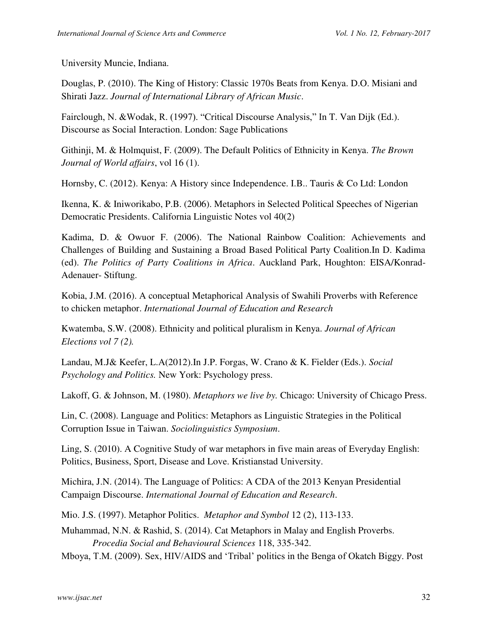University Muncie, Indiana.

Douglas, P. (2010). The King of History: Classic 1970s Beats from Kenya. D.O. Misiani and Shirati Jazz. *Journal of International Library of African Music*.

Fairclough, N. &Wodak, R. (1997). "Critical Discourse Analysis," In T. Van Dijk (Ed.). Discourse as Social Interaction. London: Sage Publications

Githinji, M. & Holmquist, F. (2009). The Default Politics of Ethnicity in Kenya. *The Brown Journal of World affairs*, vol 16 (1).

Hornsby, C. (2012). Kenya: A History since Independence. I.B.. Tauris & Co Ltd: London

Ikenna, K. & Iniworikabo, P.B. (2006). Metaphors in Selected Political Speeches of Nigerian Democratic Presidents. California Linguistic Notes vol 40(2)

Kadima, D. & Owuor F. (2006). The National Rainbow Coalition: Achievements and Challenges of Building and Sustaining a Broad Based Political Party Coalition.In D. Kadima (ed). *The Politics of Party Coalitions in Africa*. Auckland Park, Houghton: EISA/Konrad-Adenauer- Stiftung.

Kobia, J.M. (2016). A conceptual Metaphorical Analysis of Swahili Proverbs with Reference to chicken metaphor. *International Journal of Education and Research* 

Kwatemba, S.W. (2008). Ethnicity and political pluralism in Kenya. *Journal of African Elections vol 7 (2).* 

Landau, M.J& Keefer, L.A(2012).In J.P. Forgas, W. Crano & K. Fielder (Eds.). *Social Psychology and Politics.* New York: Psychology press.

Lakoff, G. & Johnson, M. (1980). *Metaphors we live by.* Chicago: University of Chicago Press.

Lin, C. (2008). Language and Politics: Metaphors as Linguistic Strategies in the Political Corruption Issue in Taiwan. *Sociolinguistics Symposium*.

Ling, S. (2010). A Cognitive Study of war metaphors in five main areas of Everyday English: Politics, Business, Sport, Disease and Love. Kristianstad University.

Michira, J.N. (2014). The Language of Politics: A CDA of the 2013 Kenyan Presidential Campaign Discourse. *International Journal of Education and Research*.

Mio. J.S. (1997). Metaphor Politics. *Metaphor and Symbol* 12 (2), 113-133.

Muhammad, N.N. & Rashid, S. (2014). Cat Metaphors in Malay and English Proverbs. *Procedia Social and Behavioural Sciences* 118, 335-342.

Mboya, T.M. (2009). Sex, HIV/AIDS and 'Tribal' politics in the Benga of Okatch Biggy. Post